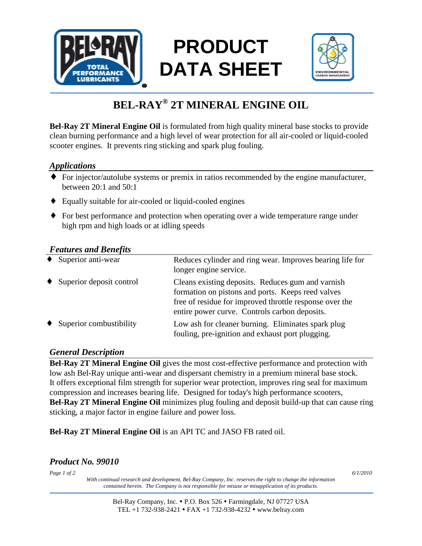

# **PRODUCT DATA SHEET**



## **BEL-RAY® 2T MINERAL ENGINE OIL**

**Bel-Ray 2T Mineral Engine Oil** is formulated from high quality mineral base stocks to provide clean burning performance and a high level of wear protection for all air-cooled or liquid-cooled scooter engines. It prevents ring sticking and spark plug fouling.

#### *Applications*

- ♦ For injector/autolube systems or premix in ratios recommended by the engine manufacturer, between 20:1 and 50:1
- ♦ Equally suitable for air-cooled or liquid-cooled engines
- ♦ For best performance and protection when operating over a wide temperature range under high rpm and high loads or at idling speeds

#### *Features and Benefits*

| $\bullet$ | Superior anti-wear       | Reduces cylinder and ring wear. Improves bearing life for<br>longer engine service.                                                                                                                                |
|-----------|--------------------------|--------------------------------------------------------------------------------------------------------------------------------------------------------------------------------------------------------------------|
| $\bullet$ | Superior deposit control | Cleans existing deposits. Reduces gum and varnish<br>formation on pistons and ports. Keeps reed valves<br>free of residue for improved throttle response over the<br>entire power curve. Controls carbon deposits. |
| $\bullet$ | Superior combustibility  | Low ash for cleaner burning. Eliminates spark plug<br>fouling, pre-ignition and exhaust port plugging.                                                                                                             |

#### *General Description*

**Bel-Ray 2T Mineral Engine Oil** gives the most cost-effective performance and protection with low ash Bel-Ray unique anti-wear and dispersant chemistry in a premium mineral base stock. It offers exceptional film strength for superior wear protection, improves ring seal for maximum compression and increases bearing life. Designed for today's high performance scooters, **Bel-Ray 2T Mineral Engine Oil** minimizes plug fouling and deposit build-up that can cause ring sticking, a major factor in engine failure and power loss.

**Bel-Ray 2T Mineral Engine Oil** is an API TC and JASO FB rated oil.

### *Product No. 99010*

*Page 1 of 2 6/1/2010*

*With continual research and development, Bel-Ray Company, Inc. reserves the right to change the information contained herein. The Company is not responsible for misuse or misapplication of its products.*